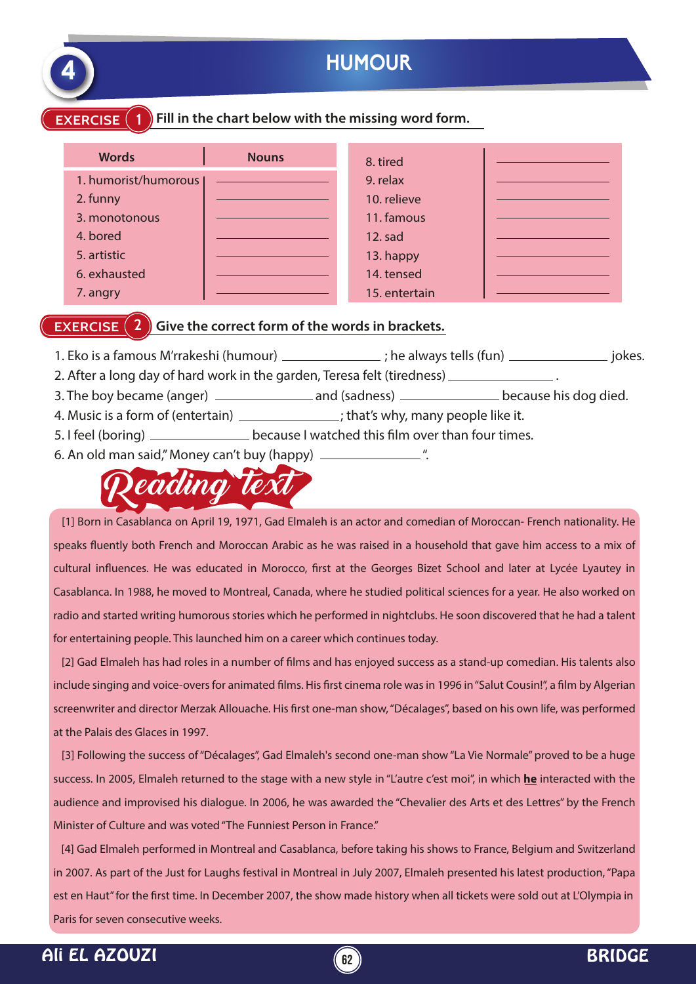

# **EXERCISE** (1) Fill in the chart below with the missing word form.

| <b>Words</b>         | <b>Nouns</b> | 8. tired      |  |
|----------------------|--------------|---------------|--|
| 1. humorist/humorous |              | 9. relax      |  |
| 2. funny             |              | 10. relieve   |  |
| 3. monotonous        |              | 11. famous    |  |
| 4. bored             |              | 12. sad       |  |
| 5. artistic          |              | 13. happy     |  |
| 6. exhausted         |              | 14. tensed    |  |
| 7. angry             |              | 15. entertain |  |

#### **EXERCISE (2) Give the correct form of the words in brackets.**

- 1. Eko is a famous M'rrakeshi (humour) \_\_\_\_\_\_\_\_\_\_\_\_\_\_; he always tells (fun) \_\_\_\_\_\_\_\_\_\_\_\_\_\_\_\_\_\_\_\_ jokes.
- 2. After a long day of hard work in the garden, Teresa felt (tiredness) .
- 3. The boy became (anger) and (sadness) because his dog died.
- 4. Music is a form of (entertain) \_\_\_\_\_\_\_\_\_\_\_\_\_\_; that's why, many people like it.
- 5. I feel (boring) \_\_\_\_\_\_\_\_\_\_\_\_\_\_\_\_\_ because I watched this film over than four times.
- 6. An old man said," Money can't buy (happy) \_\_\_\_\_\_\_\_\_\_\_\_\_\_\_\_\_\_."



 [1] Born in Casablanca on April 19, 1971, Gad Elmaleh is an actor and comedian of Moroccan- French nationality. He speaks fluently both French and Moroccan Arabic as he was raised in a household that gave him access to a mix of cultural influences. He was educated in Morocco, first at the Georges Bizet School and later at Lycée Lyautey in Casablanca. In 1988, he moved to Montreal, Canada, where he studied political sciences for a year. He also worked on radio and started writing humorous stories which he performed in nightclubs. He soon discovered that he had a talent for entertaining people. This launched him on a career which continues today.

[2] Gad Elmaleh has had roles in a number of films and has enjoyed success as a stand-up comedian. His talents also include singing and voice-overs for animated films. His first cinema role was in 1996 in "Salut Cousin!", a film by Algerian screenwriter and director Merzak Allouache. His first one-man show, "Décalages", based on his own life, was performed at the Palais des Glaces in 1997.

 [3] Following the success of "Décalages", Gad Elmaleh's second one-man show "La Vie Normale" proved to be a huge success. In 2005, Elmaleh returned to the stage with a new style in "L'autre c'est moi", in which **he** interacted with the audience and improvised his dialogue. In 2006, he was awarded the "Chevalier des Arts et des Lettres" by the French Minister of Culture and was voted "The Funniest Person in France."

 [4] Gad Elmaleh performed in Montreal and Casablanca, before taking his shows to France, Belgium and Switzerland in 2007. As part of the Just for Laughs festival in Montreal in July 2007, Elmaleh presented his latest production, "Papa est en Haut" for the first time. In December 2007, the show made history when all tickets were sold out at L'Olympia in Paris for seven consecutive weeks.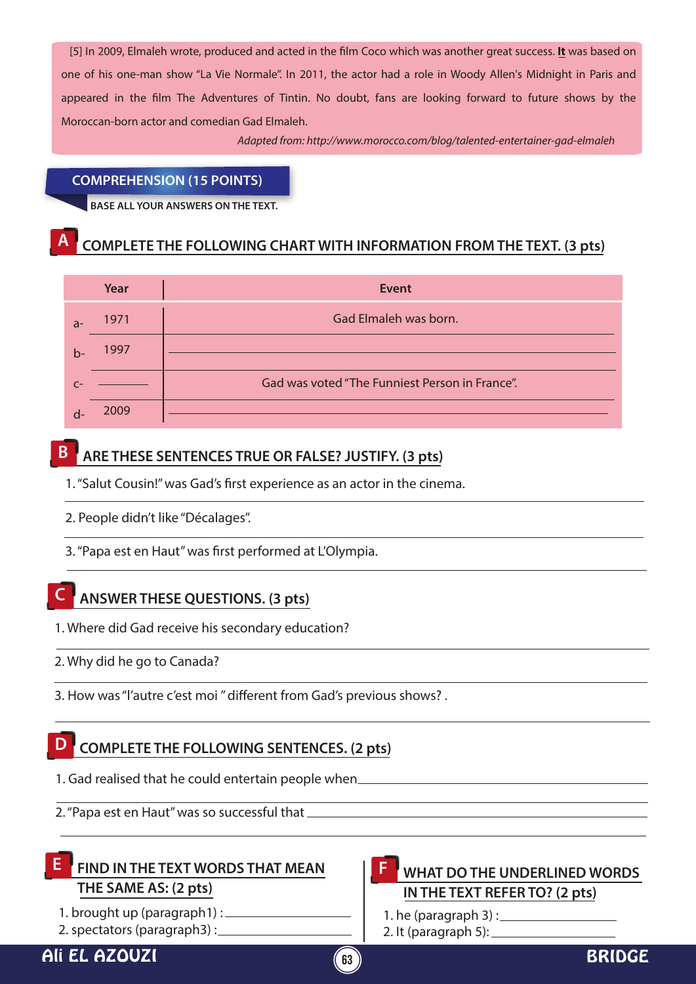[5] In 2009, Elmaleh wrote, produced and acted in the film Coco which was another great success. It was based on one of his one-man show "La Vie Normale". In 2011, the actor had a role in Woody Allen's Midnight in Paris and appeared in the film The Adventures of Tintin. No doubt, fans are looking forward to future shows by the Moroccan-born actor and comedian Gad Elmaleh.

*Adapted from: http://www.morocco.com/blog/talented-entertainer-gad-elmaleh*

#### **COMPREHENSION (15 POINTS)**

**BASE ALL YOUR ANSWERS ON THE TEXT.**

## **A COMPLETE THE FOLLOWING CHART WITH INFORMATION FROM THE TEXT. (3 pts)**

|      | Year | <b>Event</b>                                   |
|------|------|------------------------------------------------|
| $a-$ | 1971 | Gad Elmaleh was born.                          |
| $b-$ | 1997 |                                                |
|      |      | Gad was voted "The Funniest Person in France". |
|      | 2009 |                                                |

### **B ARE THESE SENTENCES TRUE OR FALSE? JUSTIFY. (3 pts)**

1. "Salut Cousin!" was Gad's first experience as an actor in the cinema.

2. People didn't like "Décalages".

3. "Papa est en Haut" was first performed at L'Olympia.

### **C ANSWER THESE QUESTIONS. (3 pts)**

- 1. Where did Gad receive his secondary education?
- 2. Why did he go to Canada?
- 3. How was "l'autre c'est moi " different from Gad's previous shows? .

### **D COMPLETE THE FOLLOWING SENTENCES. (2 pts)**

- 1. Gad realised that he could entertain people when
- 2. "Papa est en Haut" was so successful that

### **E** FIND IN THE TEXT WORDS THAT MEAN **EXECUTE:** WHAT DO THE UNDERLINED WORDS **THE SAME AS: (2 pts)**

- 1. brought up (paragraph1) :
- 2. spectators (paragraph3) :

# **IN THE TEXT REFER TO? (2 pts) F**

1. he (paragraph  $3$ ) : 2. It (paragraph  $5$ ):